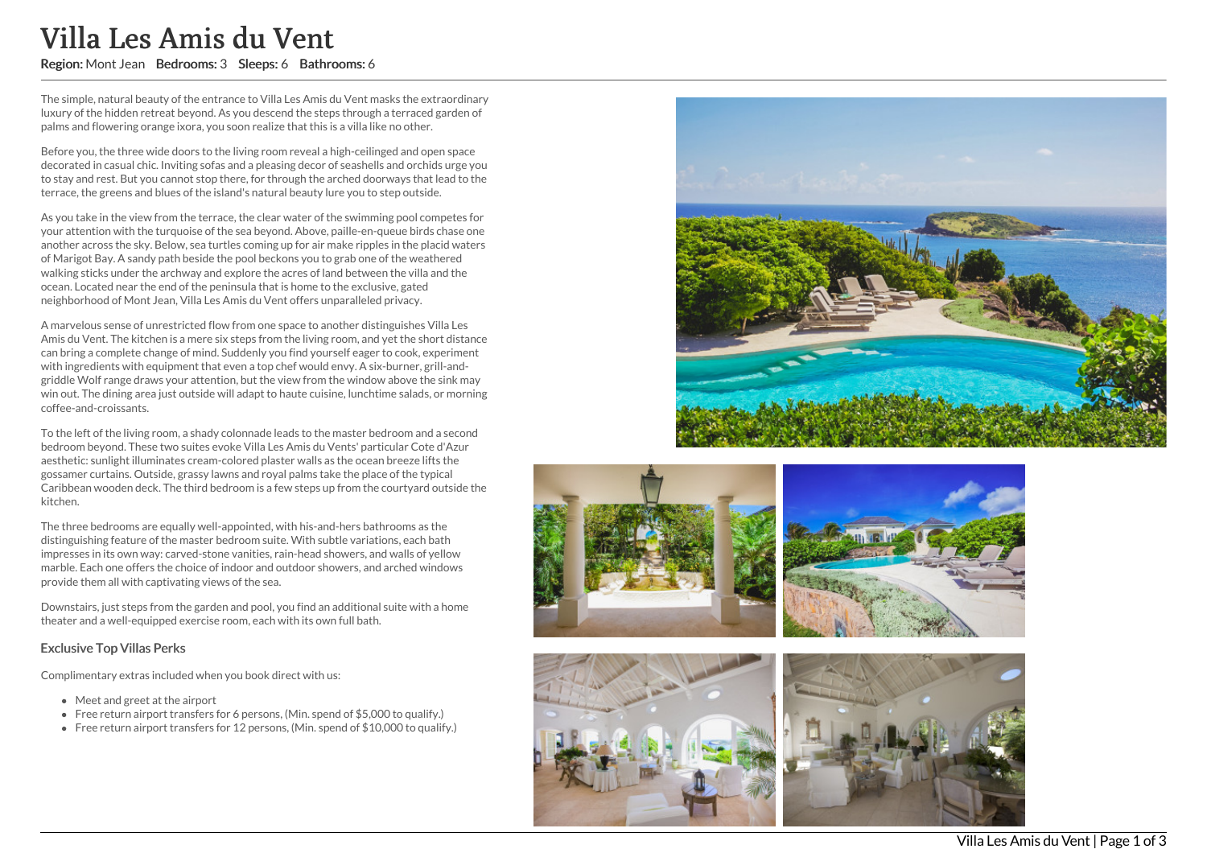The simple, natural beauty of the entrance to Villa Les Amis du Vent masks the extraordinary luxury of the hidden retreat beyond. As you descend the steps through a terraced garden of palms and flowering orange ixora, you soon realize that this is a villa like no other.

Before you, the three wide doors to the living room reveal a high-ceilinged and open space decorated in casual chic. Inviting sofas and a pleasing decor of seashells and orchids urge you to stay and rest. But you cannot stop there, for through the arched doorways that lead to the terrace, the greens and blues of the island's natural beauty lure you to step outside.

As you take in the view from the terrace, the clear water of the swimming pool competes for your attention with the turquoise of the sea beyond. Above, paille-en-queue birds chase one another across the sky. Below, sea turtles coming up for air make ripples in the placid waters of Marigot Bay. A sandy path beside the pool beckons you to grab one of the weathered walking sticks under the archway and explore the acres of land between the villa and the ocean. Located near the end of the peninsula that is home to the exclusive, gated neighborhood of Mont Jean, Villa Les Amis du Vent offers unparalleled privacy. **Villa Les Amis du Vent**<br> **Region:** Mont Jean Bedrooms: 3 Sleeps: 6 Bathrooms: 6<br>
The simple, natural beauty of the entrance to Villa Les Amis du Vent masks the extraorumy of the hidden retransfers beyond As you does<br>conta

A marvelous sense of unrestricted flow from one space to another distinguishes Villa Les Amis du Vent. The kitchen is a mere six steps from the living room, and yet the short distance can bring a complete change of mind. Suddenly you find yourself eager to cook, experiment with ingredients with equipment that even a top chef would envy. A six-burner, grill-and griddle Wolf range draws your attention, but the view from the window above the sink may win out. The dining area just outside will adapt to haute cuisine, lunchtime salads, or morning coffee-and-croissants.

To the left of the living room, a shady colonnade leads to the master bedroom and a second bedroom beyond. These two suites evoke Villa Les Amis du Vents' particular Cote d'Azur aesthetic: sunlight illuminates cream-colored plaster walls as the ocean breeze lifts the gossamer curtains. Outside, grassy lawns and royal palms take the place of the typical Caribbean wooden deck. The third bedroom is a few steps up from the courtyard outside the kitchen.

The three bedrooms are equally well-appointed, with his-and-hers bathrooms as the distinguishing feature of the master bedroom suite. With subtle variations, each bath impresses in its own way: carved-stone vanities, rain-head showers, and walls of yellow marble. Each one offers the choice of indoor and outdoor showers, and arched windows provide them all with captivating views of the sea.

Downstairs, just steps from the garden and pool, you find an additional suite with a home theater and a well-equipped exercise room, each with its own full bath.

## Exclusive Top Villas Perks

Complimentary extras included when you book direct with us:

- Meet and greet at the airport
- Free return airport transfers for 6 persons, (Min. spend of \$5,000 to qualify.)
- 









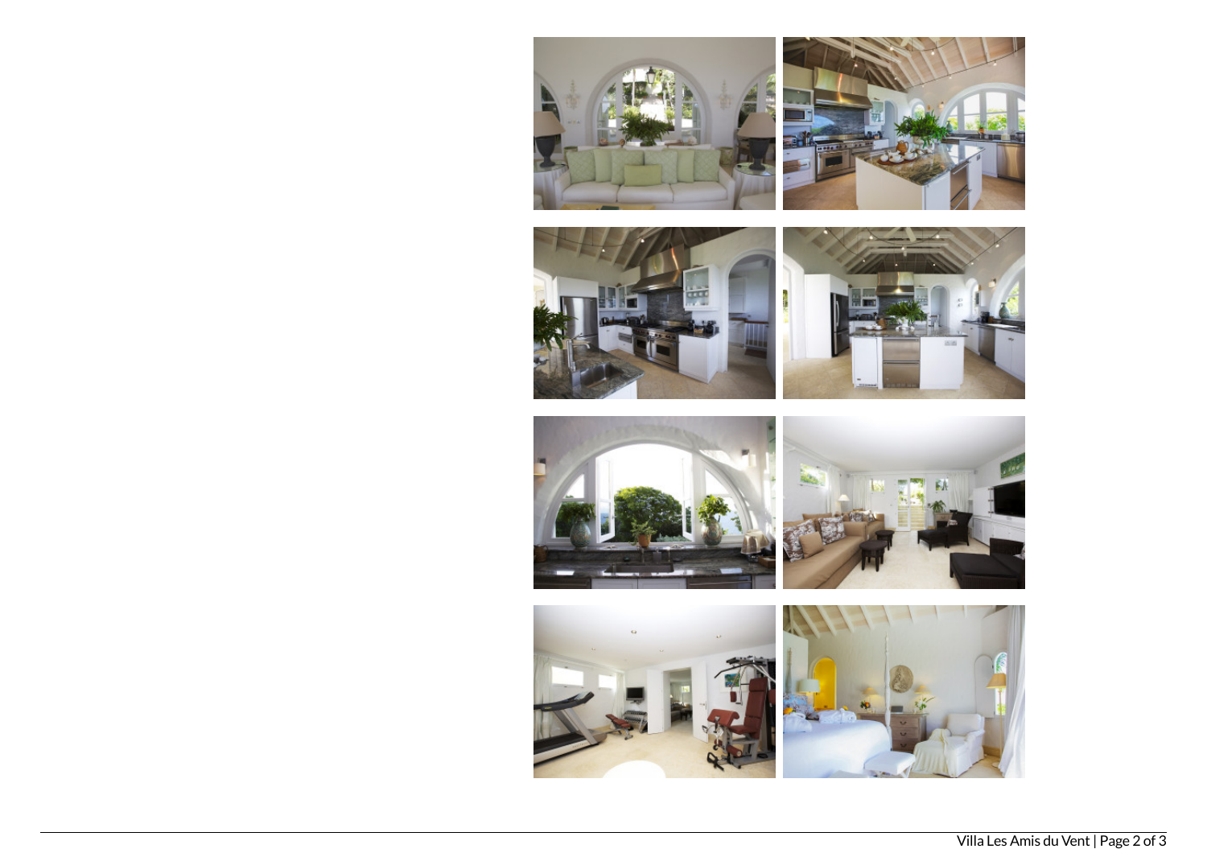